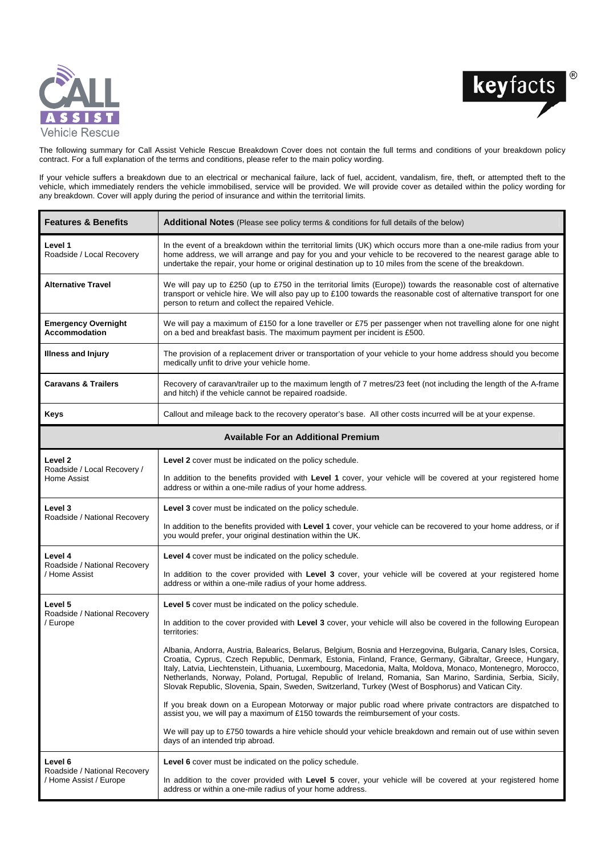



The following summary for Call Assist Vehicle Rescue Breakdown Cover does not contain the full terms and conditions of your breakdown policy contract. For a full explanation of the terms and conditions, please refer to the main policy wording.

If your vehicle suffers a breakdown due to an electrical or mechanical failure, lack of fuel, accident, vandalism, fire, theft, or attempted theft to the vehicle, which immediately renders the vehicle immobilised, service will be provided. We will provide cover as detailed within the policy wording for any breakdown. Cover will apply during the period of insurance and within the territorial limits.

| <b>Features &amp; Benefits</b>                                    | <b>Additional Notes</b> (Please see policy terms & conditions for full details of the below)                                                                                                                                                                                                                                                                                                                                                                                                                                                                      |  |
|-------------------------------------------------------------------|-------------------------------------------------------------------------------------------------------------------------------------------------------------------------------------------------------------------------------------------------------------------------------------------------------------------------------------------------------------------------------------------------------------------------------------------------------------------------------------------------------------------------------------------------------------------|--|
| Level 1<br>Roadside / Local Recovery                              | In the event of a breakdown within the territorial limits (UK) which occurs more than a one-mile radius from your<br>home address, we will arrange and pay for you and your vehicle to be recovered to the nearest garage able to<br>undertake the repair, your home or original destination up to 10 miles from the scene of the breakdown.                                                                                                                                                                                                                      |  |
| <b>Alternative Travel</b>                                         | We will pay up to £250 (up to £750 in the territorial limits (Europe)) towards the reasonable cost of alternative<br>transport or vehicle hire. We will also pay up to £100 towards the reasonable cost of alternative transport for one<br>person to return and collect the repaired Vehicle.                                                                                                                                                                                                                                                                    |  |
| <b>Emergency Overnight</b><br><b>Accommodation</b>                | We will pay a maximum of £150 for a lone traveller or £75 per passenger when not travelling alone for one night<br>on a bed and breakfast basis. The maximum payment per incident is £500.                                                                                                                                                                                                                                                                                                                                                                        |  |
| <b>Illness and Injury</b>                                         | The provision of a replacement driver or transportation of your vehicle to your home address should you become<br>medically unfit to drive your vehicle home.                                                                                                                                                                                                                                                                                                                                                                                                     |  |
| <b>Caravans &amp; Trailers</b>                                    | Recovery of caravan/trailer up to the maximum length of 7 metres/23 feet (not including the length of the A-frame<br>and hitch) if the vehicle cannot be repaired roadside.                                                                                                                                                                                                                                                                                                                                                                                       |  |
| Keys                                                              | Callout and mileage back to the recovery operator's base. All other costs incurred will be at your expense.                                                                                                                                                                                                                                                                                                                                                                                                                                                       |  |
| <b>Available For an Additional Premium</b>                        |                                                                                                                                                                                                                                                                                                                                                                                                                                                                                                                                                                   |  |
| Level 2<br>Roadside / Local Recovery /<br>Home Assist             | <b>Level 2</b> cover must be indicated on the policy schedule.                                                                                                                                                                                                                                                                                                                                                                                                                                                                                                    |  |
|                                                                   | In addition to the benefits provided with Level 1 cover, your vehicle will be covered at your registered home<br>address or within a one-mile radius of your home address.                                                                                                                                                                                                                                                                                                                                                                                        |  |
| Level 3<br>Roadside / National Recovery                           | <b>Level 3</b> cover must be indicated on the policy schedule.                                                                                                                                                                                                                                                                                                                                                                                                                                                                                                    |  |
|                                                                   | In addition to the benefits provided with Level 1 cover, your vehicle can be recovered to your home address, or if<br>you would prefer, your original destination within the UK.                                                                                                                                                                                                                                                                                                                                                                                  |  |
| Level 4<br>Roadside / National Recovery<br>/ Home Assist          | <b>Level 4</b> cover must be indicated on the policy schedule.                                                                                                                                                                                                                                                                                                                                                                                                                                                                                                    |  |
|                                                                   | In addition to the cover provided with Level 3 cover, your vehicle will be covered at your registered home<br>address or within a one-mile radius of your home address.                                                                                                                                                                                                                                                                                                                                                                                           |  |
| Level 5<br>Roadside / National Recovery<br>/ Europe               | <b>Level 5</b> cover must be indicated on the policy schedule.                                                                                                                                                                                                                                                                                                                                                                                                                                                                                                    |  |
|                                                                   | In addition to the cover provided with Level 3 cover, your vehicle will also be covered in the following European<br>territories:                                                                                                                                                                                                                                                                                                                                                                                                                                 |  |
|                                                                   | Albania, Andorra, Austria, Balearics, Belarus, Belgium, Bosnia and Herzegovina, Bulgaria, Canary Isles, Corsica,<br>Croatia, Cyprus, Czech Republic, Denmark, Estonia, Finland, France, Germany, Gibraltar, Greece, Hungary,<br>Italy, Latvia, Liechtenstein, Lithuania, Luxembourg, Macedonia, Malta, Moldova, Monaco, Montenegro, Morocco,<br>Netherlands, Norway, Poland, Portugal, Republic of Ireland, Romania, San Marino, Sardinia, Serbia, Sicily,<br>Slovak Republic, Slovenia, Spain, Sweden, Switzerland, Turkey (West of Bosphorus) and Vatican City. |  |
|                                                                   | If you break down on a European Motorway or major public road where private contractors are dispatched to<br>assist you, we will pay a maximum of £150 towards the reimbursement of your costs.                                                                                                                                                                                                                                                                                                                                                                   |  |
|                                                                   | We will pay up to £750 towards a hire vehicle should your vehicle breakdown and remain out of use within seven<br>days of an intended trip abroad.                                                                                                                                                                                                                                                                                                                                                                                                                |  |
| Level 6<br>Roadside / National Recovery<br>/ Home Assist / Europe | <b>Level 6</b> cover must be indicated on the policy schedule.                                                                                                                                                                                                                                                                                                                                                                                                                                                                                                    |  |
|                                                                   | In addition to the cover provided with Level 5 cover, your vehicle will be covered at your registered home<br>address or within a one-mile radius of your home address.                                                                                                                                                                                                                                                                                                                                                                                           |  |